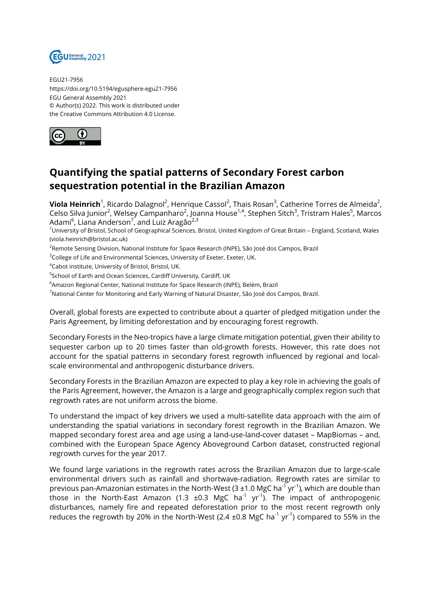

EGU21-7956 https://doi.org/10.5194/egusphere-egu21-7956 EGU General Assembly 2021 © Author(s) 2022. This work is distributed under the Creative Commons Attribution 4.0 License.



## **Quantifying the spatial patterns of Secondary Forest carbon sequestration potential in the Brazilian Amazon**

**Viola Heinrich**<sup>1</sup>, Ricardo Dalagnol<sup>2</sup>, Henrique Cassol<sup>2</sup>, Thais Rosan<sup>3</sup>, Catherine Torres de Almeida<sup>2</sup>, Celso Silva Junior<sup>2</sup>, Welsey Campanharo<sup>2</sup>, Joanna House<sup>1,4</sup>, Stephen Sitch<sup>3</sup>, Tristram Hales<sup>5</sup>, Marcos Adami<sup>6</sup>, Liana Anderson<sup>7</sup>, and Luiz Aragão<sup>2,3</sup>

<sup>1</sup>University of Bristol, School of Geographical Sciences, Bristol, United Kingdom of Great Britain – England, Scotland, Wales (viola.heinrich@bristol.ac.uk)

<sup>2</sup>Remote Sensing Division, National Institute for Space Research (INPE), São José dos Campos, Brazil

<sup>3</sup>College of Life and Environmental Sciences, University of Exeter, Exeter, UK.

<sup>4</sup>Cabot institute, University of Bristol, Bristol, UK.

<sup>5</sup>School of Earth and Ocean Sciences, Cardiff University, Cardiff, UK

<sup>6</sup>Amazon Regional Center, National Institute for Space Research (INPE), Belém, Brazil

<sup>7</sup>National Center for Monitoring and Early Warning of Natural Disaster, São José dos Campos, Brazil.

Overall, global forests are expected to contribute about a quarter of pledged mitigation under the Paris Agreement, by limiting deforestation and by encouraging forest regrowth.

Secondary Forests in the Neo-tropics have a large climate mitigation potential, given their ability to sequester carbon up to 20 times faster than old-growth forests. However, this rate does not account for the spatial patterns in secondary forest regrowth influenced by regional and localscale environmental and anthropogenic disturbance drivers.

Secondary Forests in the Brazilian Amazon are expected to play a key role in achieving the goals of the Paris Agreement, however, the Amazon is a large and geographically complex region such that regrowth rates are not uniform across the biome.

To understand the impact of key drivers we used a multi-satellite data approach with the aim of understanding the spatial variations in secondary forest regrowth in the Brazilian Amazon. We mapped secondary forest area and age using a land-use-land-cover dataset – MapBiomas – and, combined with the European Space Agency Aboveground Carbon dataset, constructed regional regrowth curves for the year 2017.

We found large variations in the regrowth rates across the Brazilian Amazon due to large-scale environmental drivers such as rainfall and shortwave-radiation. Regrowth rates are similar to previous pan-Amazonian estimates in the North-West (3  $\pm$ 1.0 MgC ha<sup>-1</sup> yr<sup>-1</sup>), which are double than those in the North-East Amazon (1.3  $\pm 0.3$  MgC ha<sup>-1</sup> yr<sup>-1</sup>). The impact of anthropogenic disturbances, namely fire and repeated deforestation prior to the most recent regrowth only reduces the regrowth by 20% in the North-West (2.4  $\pm$ 0.8 MgC ha<sup>-1</sup> yr<sup>-1</sup>) compared to 55% in the